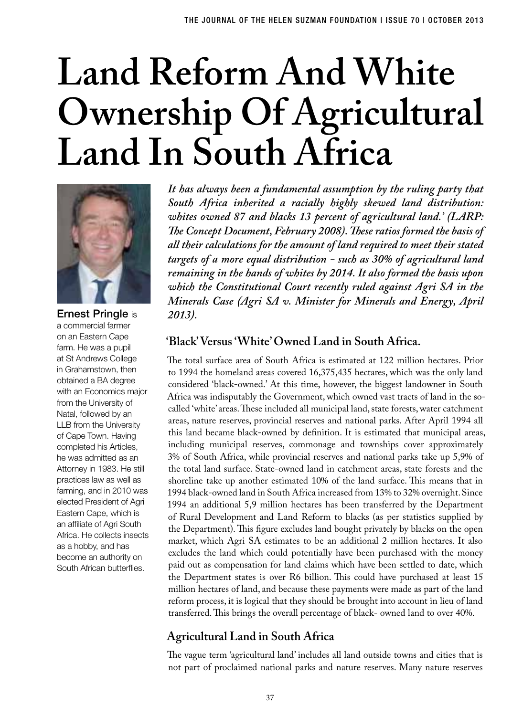# **Land Reform And White Ownership Of Agricultural Land In South Africa**



Ernest Pringle is a commercial farmer on an Eastern Cape farm. He was a pupil at St Andrews College in Grahamstown, then obtained a BA degree with an Economics major from the University of Natal, followed by an LLB from the University of Cape Town. Having completed his Articles, he was admitted as an Attorney in 1983. He still practices law as well as farming, and in 2010 was elected President of Agri Eastern Cape, which is an affiliate of Agri South Africa. He collects insects as a hobby, and has become an authority on South African butterflies.

*It has always been a fundamental assumption by the ruling party that South Africa inherited a racially highly skewed land distribution: whites owned 87 and blacks 13 percent of agricultural land.' (LARP: The Concept Document, February 2008). These ratios formed the basis of all their calculations for the amount of land required to meet their stated targets of a more equal distribution - such as 30% of agricultural land remaining in the hands of whites by 2014. It also formed the basis upon which the Constitutional Court recently ruled against Agri SA in the Minerals Case (Agri SA v. Minister for Minerals and Energy, April 2013).*

## **'Black' Versus 'White' Owned Land in South Africa.**

The total surface area of South Africa is estimated at 122 million hectares. Prior to 1994 the homeland areas covered 16,375,435 hectares, which was the only land considered 'black-owned.' At this time, however, the biggest landowner in South Africa was indisputably the Government, which owned vast tracts of land in the socalled 'white' areas. These included all municipal land, state forests, water catchment areas, nature reserves, provincial reserves and national parks. After April 1994 all this land became black-owned by definition. It is estimated that municipal areas, including municipal reserves, commonage and townships cover approximately 3% of South Africa, while provincial reserves and national parks take up 5,9% of the total land surface. State-owned land in catchment areas, state forests and the shoreline take up another estimated 10% of the land surface. This means that in 1994 black-owned land in South Africa increased from 13% to 32% overnight. Since 1994 an additional 5,9 million hectares has been transferred by the Department of Rural Development and Land Reform to blacks (as per statistics supplied by the Department). This figure excludes land bought privately by blacks on the open market, which Agri SA estimates to be an additional 2 million hectares. It also excludes the land which could potentially have been purchased with the money paid out as compensation for land claims which have been settled to date, which the Department states is over R6 billion. This could have purchased at least 15 million hectares of land, and because these payments were made as part of the land reform process, it is logical that they should be brought into account in lieu of land transferred. This brings the overall percentage of black- owned land to over 40%.

# **Agricultural Land in South Africa**

The vague term 'agricultural land' includes all land outside towns and cities that is not part of proclaimed national parks and nature reserves. Many nature reserves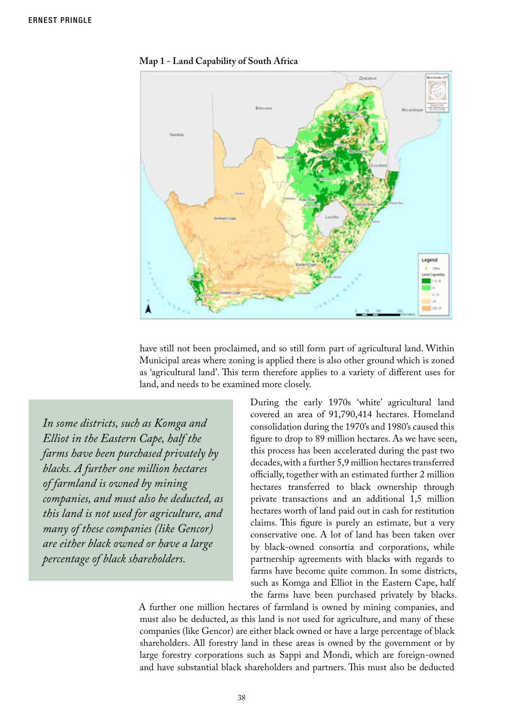

**Map 1 - Land Capability of South Africa**

have still not been proclaimed, and so still form part of agricultural land. Within Municipal areas where zoning is applied there is also other ground which is zoned as 'agricultural land'. This term therefore applies to a variety of different uses for land, and needs to be examined more closely.

*In some districts, such as Komga and Elliot in the Eastern Cape, half the farms have been purchased privately by blacks. A further one million hectares of farmland is owned by mining companies, and must also be deducted, as this land is not used for agriculture, and many of these companies (like Gencor) are either black owned or have a large percentage of black shareholders.*

During the early 1970s 'white' agricultural land covered an area of 91,790,414 hectares. Homeland consolidation during the 1970's and 1980's caused this figure to drop to 89 million hectares. As we have seen, this process has been accelerated during the past two decades, with a further 5,9 million hectares transferred officially, together with an estimated further 2 million hectares transferred to black ownership through private transactions and an additional 1,5 million hectares worth of land paid out in cash for restitution claims. This figure is purely an estimate, but a very conservative one. A lot of land has been taken over by black-owned consortia and corporations, while partnership agreements with blacks with regards to farms have become quite common. In some districts, such as Komga and Elliot in the Eastern Cape, half the farms have been purchased privately by blacks.

A further one million hectares of farmland is owned by mining companies, and must also be deducted, as this land is not used for agriculture, and many of these companies (like Gencor) are either black owned or have a large percentage of black shareholders. All forestry land in these areas is owned by the government or by large forestry corporations such as Sappi and Mondi, which are foreign-owned and have substantial black shareholders and partners. This must also be deducted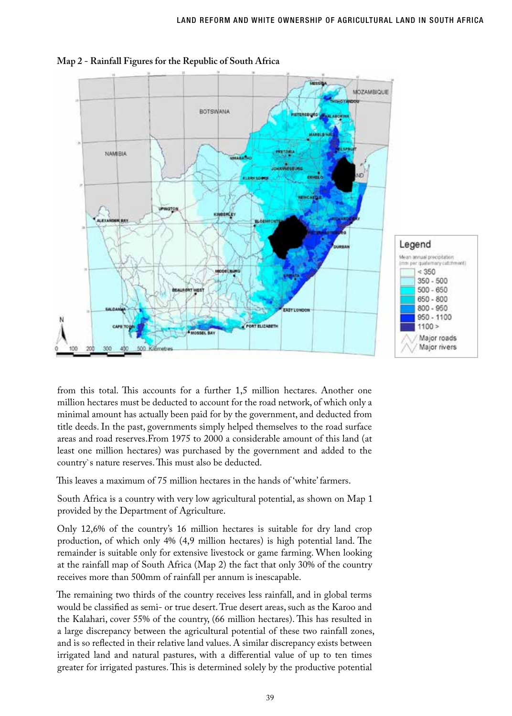

**Map 2 - Rainfall Figures for the Republic of South Africa**

from this total. This accounts for a further 1,5 million hectares. Another one million hectares must be deducted to account for the road network, of which only a minimal amount has actually been paid for by the government, and deducted from title deeds. In the past, governments simply helped themselves to the road surface areas and road reserves.From 1975 to 2000 a considerable amount of this land (at least one million hectares) was purchased by the government and added to the country`s nature reserves. This must also be deducted.

This leaves a maximum of 75 million hectares in the hands of 'white' farmers.

South Africa is a country with very low agricultural potential, as shown on Map 1 provided by the Department of Agriculture.

Only 12,6% of the country's 16 million hectares is suitable for dry land crop production, of which only 4% (4,9 million hectares) is high potential land. The remainder is suitable only for extensive livestock or game farming. When looking at the rainfall map of South Africa (Map 2) the fact that only 30% of the country receives more than 500mm of rainfall per annum is inescapable.

The remaining two thirds of the country receives less rainfall, and in global terms would be classified as semi- or true desert. True desert areas, such as the Karoo and the Kalahari, cover 55% of the country, (66 million hectares). This has resulted in a large discrepancy between the agricultural potential of these two rainfall zones, and is so reflected in their relative land values. A similar discrepancy exists between irrigated land and natural pastures, with a differential value of up to ten times greater for irrigated pastures. This is determined solely by the productive potential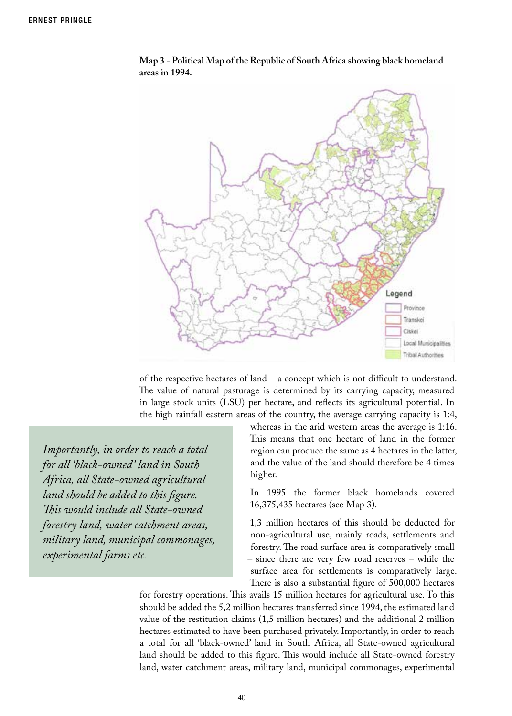

**Map 3 - Political Map of the Republic of South Africa showing black homeland areas in 1994.**

of the respective hectares of land – a concept which is not difficult to understand. The value of natural pasturage is determined by its carrying capacity, measured in large stock units (LSU) per hectare, and reflects its agricultural potential. In the high rainfall eastern areas of the country, the average carrying capacity is 1:4,

*Importantly, in order to reach a total for all 'black-owned' land in South Africa, all State-owned agricultural land should be added to this figure. This would include all State-owned forestry land, water catchment areas, military land, municipal commonages, experimental farms etc.*

whereas in the arid western areas the average is 1:16. This means that one hectare of land in the former region can produce the same as 4 hectares in the latter, and the value of the land should therefore be 4 times higher.

In 1995 the former black homelands covered 16,375,435 hectares (see Map 3).

1,3 million hectares of this should be deducted for non-agricultural use, mainly roads, settlements and forestry. The road surface area is comparatively small – since there are very few road reserves – while the surface area for settlements is comparatively large. There is also a substantial figure of 500,000 hectares

for forestry operations. This avails 15 million hectares for agricultural use. To this should be added the 5,2 million hectares transferred since 1994, the estimated land value of the restitution claims (1,5 million hectares) and the additional 2 million hectares estimated to have been purchased privately. Importantly, in order to reach a total for all 'black-owned' land in South Africa, all State-owned agricultural land should be added to this figure. This would include all State-owned forestry land, water catchment areas, military land, municipal commonages, experimental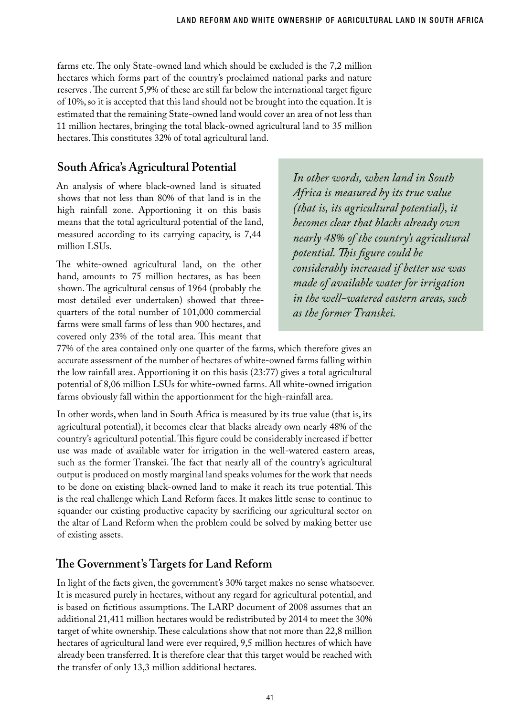farms etc. The only State-owned land which should be excluded is the 7,2 million hectares which forms part of the country's proclaimed national parks and nature reserves . The current 5,9% of these are still far below the international target figure of 10%, so it is accepted that this land should not be brought into the equation. It is estimated that the remaining State-owned land would cover an area of not less than 11 million hectares, bringing the total black-owned agricultural land to 35 million hectares. This constitutes 32% of total agricultural land.

## **South Africa's Agricultural Potential**

An analysis of where black-owned land is situated shows that not less than 80% of that land is in the high rainfall zone. Apportioning it on this basis means that the total agricultural potential of the land, measured according to its carrying capacity, is 7,44 million LSUs.

The white-owned agricultural land, on the other hand, amounts to 75 million hectares, as has been shown. The agricultural census of 1964 (probably the most detailed ever undertaken) showed that threequarters of the total number of 101,000 commercial farms were small farms of less than 900 hectares, and covered only 23% of the total area. This meant that

*In other words, when land in South Africa is measured by its true value (that is, its agricultural potential), it becomes clear that blacks already own nearly 48% of the country's agricultural potential. This figure could be considerably increased if better use was made of available water for irrigation in the well-watered eastern areas, such as the former Transkei.* 

77% of the area contained only one quarter of the farms, which therefore gives an accurate assessment of the number of hectares of white-owned farms falling within the low rainfall area. Apportioning it on this basis (23:77) gives a total agricultural potential of 8,06 million LSUs for white-owned farms. All white-owned irrigation farms obviously fall within the apportionment for the high-rainfall area.

In other words, when land in South Africa is measured by its true value (that is, its agricultural potential), it becomes clear that blacks already own nearly 48% of the country's agricultural potential. This figure could be considerably increased if better use was made of available water for irrigation in the well-watered eastern areas, such as the former Transkei. The fact that nearly all of the country's agricultural output is produced on mostly marginal land speaks volumes for the work that needs to be done on existing black-owned land to make it reach its true potential. This is the real challenge which Land Reform faces. It makes little sense to continue to squander our existing productive capacity by sacrificing our agricultural sector on the altar of Land Reform when the problem could be solved by making better use of existing assets.

#### **The Government's Targets for Land Reform**

In light of the facts given, the government's 30% target makes no sense whatsoever. It is measured purely in hectares, without any regard for agricultural potential, and is based on fictitious assumptions. The LARP document of 2008 assumes that an additional 21,411 million hectares would be redistributed by 2014 to meet the 30% target of white ownership. These calculations show that not more than 22,8 million hectares of agricultural land were ever required, 9,5 million hectares of which have already been transferred. It is therefore clear that this target would be reached with the transfer of only 13,3 million additional hectares.